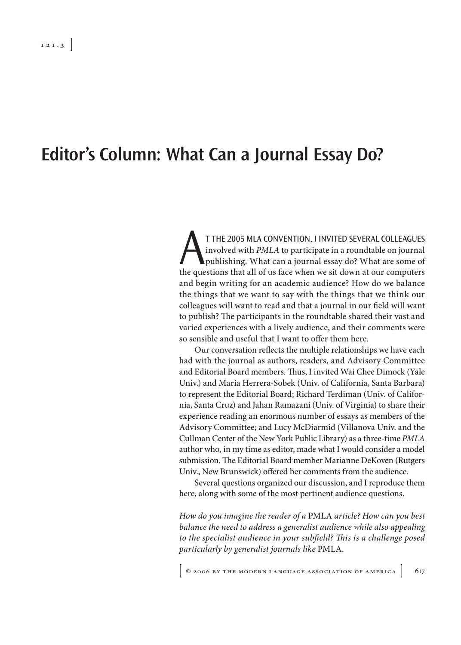## **Editor's Column: What Can a Journal Essay Do?**

T THE 2005 MLA CONVENTION, I INVITED SEVERAL COLLEAGUES<br>involved with *PMLA* to participate in a roundtable on journal<br>publishing. What can a journal essay do? What are some of<br>the questions that all of us face when we sit involved with *PMLA* to participate in a roundtable on journal publishing. What can a journal essay do? What are some of the questions that all of us face when we sit down at our computers and begin writing for an academic audience? How do we balance the things that we want to say with the things that we think our colleagues will want to read and that a journal in our field will want to publish? The participants in the roundtable shared their vast and varied experiences with a lively audience, and their comments were so sensible and useful that I want to offer them here.

Our conversation reflects the multiple relationships we have each had with the journal as authors, readers, and Advisory Committee and Editorial Board members. Thus, I invited Wai Chee Dimock (Yale Univ.) and María Herrera-Sobek (Univ. of California, Santa Barbara) to represent the Editorial Board; Richard Terdiman (Univ. of Califor nia, Santa Cruz) and Jahan Ramazani (Univ. of Virginia) to share their experience reading an enormous number of essays as members of the Advisory Committee; and Lucy McDiarmid (Villanova Univ. and the Cullman Center of the New York Public Library) as a three-time *PMLA* author who, in my time as editor, made what I would consider a model submission. The Editorial Board member Marianne DeKoven (Rutgers Univ., New Brunswick) offered her comments from the audience.

Several questions organized our discussion, and I reproduce them here, along with some of the most pertinent audience questions.

*How do you imagine the reader of a* PMLA *article? How can you best balance the need to address a generalist audience while also appealing to the specialist audience in your subfield? This is a challenge posed particularly by generalist journals like* PMLA*.*

 $\left[$  © 2006 by the modern language association of america  $\left[$  617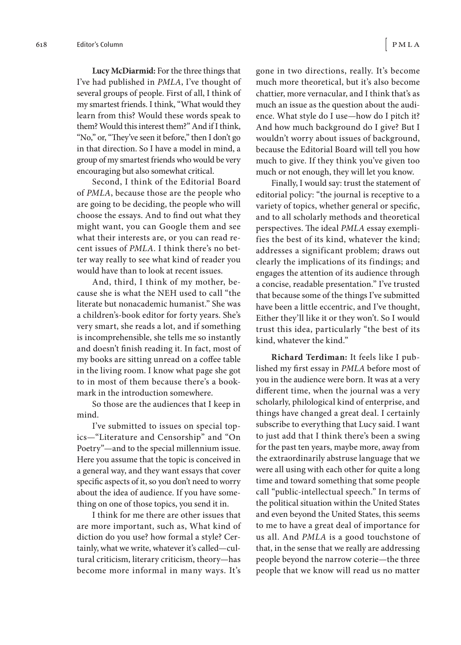**Lucy McDiarmid:** For the three things that I've had published in *PMLA*, I've thought of several groups of people. First of all, I think of my smartest friends. I think, "What would they learn from this? Would these words speak to them? Would this interest them?" And if I think, "No," or, "They've seen it before," then I don't go in that direction. So I have a model in mind, a group of my smartest friends who would be very encouraging but also somewhat critical.

Second, I think of the Editorial Board of *PMLA*, because those are the people who are going to be deciding, the people who will choose the essays. And to find out what they might want, you can Google them and see what their interests are, or you can read re cent issues of *PMLA*. I think there's no bet ter way really to see what kind of reader you would have than to look at recent issues.

And, third, I think of my mother, be cause she is what the NEH used to call "the literate but nonacademic humanist." She was a children's-book editor for forty years. She's very smart, she reads a lot, and if something is incomprehensible, she tells me so instantly and doesn't finish reading it. In fact, most of my books are sitting unread on a coffee table in the living room. I know what page she got to in most of them because there's a book mark in the introduction somewhere.

So those are the audiences that I keep in mind.

I've submitted to issues on special top ics—"Literature and Censorship" and "On Poetry"—and to the special millennium issue. Here you assume that the topic is conceived in a general way, and they want essays that cover specific aspects of it, so you don't need to worry about the idea of audience. If you have some thing on one of those topics, you send it in.

I think for me there are other issues that are more important, such as, What kind of diction do you use? how formal a style? Cer tainly, what we write, whatever it's called—cul tural criticism, literary criticism, theory—has become more informal in many ways. It's

gone in two directions, really. It's become much more theoretical, but it's also become chattier, more vernacular, and I think that's as much an issue as the question about the audi ence. What style do I use—how do I pitch it? And how much background do I give? But I wouldn't worry about issues of background, because the Editorial Board will tell you how much to give. If they think you've given too much or not enough, they will let you know.

Finally, I would say: trust the statement of editorial policy: "the journal is receptive to a variety of topics, whether general or specific, and to all scholarly methods and theoretical perspectives. The ideal *PMLA* essay exempli fies the best of its kind, whatever the kind; addresses a significant problem; draws out clearly the implications of its findings; and engages the attention of its audience through a concise, readable presentation." I've trusted that because some of the things I've submitted have been a little eccentric, and I've thought, Either they'll like it or they won't. So I would trust this idea, particularly "the best of its kind, whatever the kind."

**Richard Terdiman:** It feels like I pub lished my first essay in *PMLA* before most of you in the audience were born. It was at a very different time, when the journal was a very scholarly, philological kind of enterprise, and things have changed a great deal. I certainly subscribe to everything that Lucy said. I want to just add that I think there's been a swing for the past ten years, maybe more, away from the extraordinarily abstruse language that we were all using with each other for quite a long time and toward something that some people call "public-intellectual speech." In terms of the political situation within the United States and even beyond the United States, this seems to me to have a great deal of importance for us all. And *PMLA* is a good touchstone of that, in the sense that we really are addressing people beyond the narrow coterie—the three people that we know will read us no matter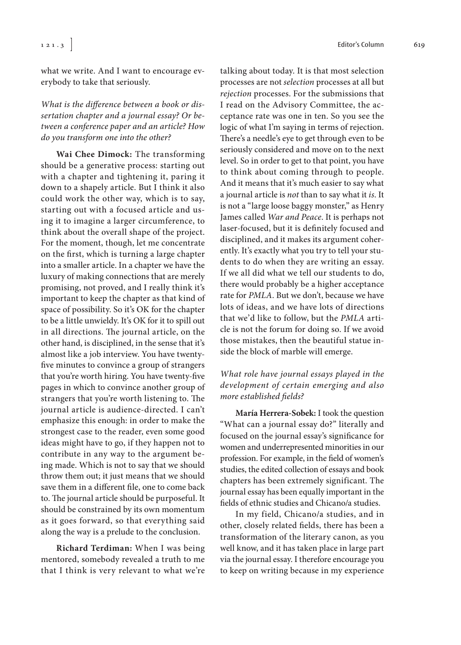what we write. And I want to encourage ev erybody to take that seriously.

## *What is the difference between a book or dissertation chapter and a journal essay? Or between a conference paper and an article? How do you transform one into the other?*

**Wai Chee Dimock:** The transforming should be a generative process: starting out with a chapter and tightening it, paring it down to a shapely article. But I think it also could work the other way, which is to say, starting out with a focused article and us ing it to imagine a larger circumference, to think about the overall shape of the project. For the moment, though, let me concentrate on the first, which is turning a large chapter into a smaller article. In a chapter we have the luxury of making connections that are merely promising, not proved, and I really think it's important to keep the chapter as that kind of space of possibility. So it's OK for the chapter to be a little unwieldy. It's OK for it to spill out in all directions. The journal article, on the other hand, is disciplined, in the sense that it's almost like a job interview. You have twentyfive minutes to convince a group of strangers that you're worth hiring. You have twenty-five pages in which to convince another group of strangers that you're worth listening to. The journal article is audience-directed. I can't emphasize this enough: in order to make the strongest case to the reader, even some good ideas might have to go, if they happen not to contribute in any way to the argument be ing made. Which is not to say that we should throw them out; it just means that we should save them in a different file, one to come back to. The journal article should be purposeful. It should be constrained by its own momentum as it goes forward, so that everything said along the way is a prelude to the conclusion.

**Richard Terdiman:** When I was being mentored, somebody revealed a truth to me that I think is very relevant to what we're

talking about today. It is that most selection processes are not *selection* processes at all but *rejection* processes. For the submissions that I read on the Advisory Committee, the ac ceptance rate was one in ten. So you see the logic of what I'm saying in terms of rejection. There's a needle's eye to get through even to be seriously considered and move on to the next level. So in order to get to that point, you have to think about coming through to people. And it means that it's much easier to say what a journal article is *not* than to say what it *is*. It is not a "large loose baggy monster," as Henry James called *War and Peace*. It is perhaps not laser-focused, but it is definitely focused and disciplined, and it makes its argument coher ently. It's exactly what you try to tell your stu dents to do when they are writing an essay. If we all did what we tell our students to do, there would probably be a higher acceptance rate for *PMLA*. But we don't, because we have lots of ideas, and we have lots of directions that we'd like to follow, but the *PMLA* arti cle is not the forum for doing so. If we avoid those mistakes, then the beautiful statue in side the block of marble will emerge.

## *What role have journal essays played in the development of certain emerging and also more established fields?*

**María Herrera-Sobek:** I took the question "What can a journal essay do?" literally and focused on the journal essay's significance for women and underrepresented minorities in our profession. For example, in the field of women's studies, the edited collection of essays and book chapters has been extremely significant. The journal essay has been equally important in the fields of ethnic studies and Chicano/a studies.

In my field, Chicano/a studies, and in other, closely related fields, there has been a transformation of the literary canon, as you well know, and it has taken place in large part via the journal essay. I therefore encourage you to keep on writing because in my experience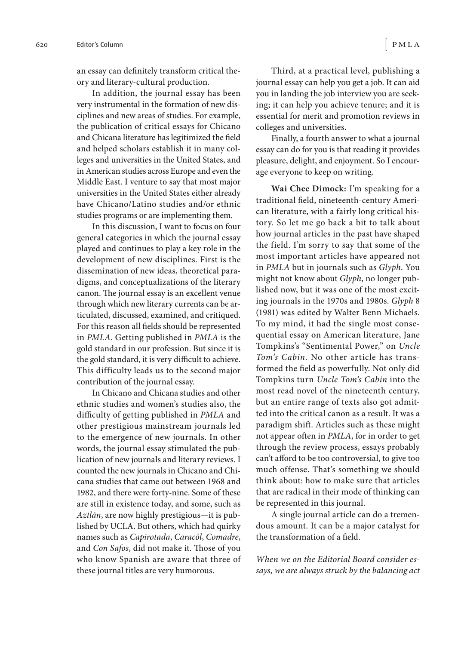an essay can definitely transform critical the ory and literary-cultural production.

In addition, the journal essay has been very instrumental in the formation of new dis ciplines and new areas of studies. For example, the publication of critical essays for Chicano and Chicana literature has legitimized the field and helped scholars establish it in many col leges and universities in the United States, and in American studies across Europe and even the Middle East. I venture to say that most major universities in the United States either already have Chicano/Latino studies and/or ethnic studies programs or are implementing them.

In this discussion, I want to focus on four general categories in which the journal essay played and continues to play a key role in the development of new disciplines. First is the dissemination of new ideas, theoretical para digms, and conceptualizations of the literary canon. The journal essay is an excellent venue through which new literary currents can be ar ticulated, discussed, examined, and critiqued. For this reason all fields should be represented in *PMLA*. Getting published in *PMLA* is the gold standard in our profession. But since it is the gold standard, it is very difficult to achieve. This difficulty leads us to the second major contribution of the journal essay.

In Chicano and Chicana studies and other ethnic studies and women's studies also, the difficulty of getting published in *PMLA* and other prestigious mainstream journals led to the emergence of new journals. In other words, the journal essay stimulated the pub lication of new journals and literary reviews. I counted the new journals in Chicano and Chi cana studies that came out between 1968 and 1982, and there were forty-nine. Some of these are still in existence today, and some, such as *Aztlán*, are now highly prestigious—it is pub lished by UCLA. But others, which had quirky names such as *Capirotada*, *Caracól*, *Comadre*, and *Con Safos*, did not make it. Those of you who know Spanish are aware that three of these journal titles are very humorous.

Third, at a practical level, publishing a journal essay can help you get a job. It can aid you in landing the job interview you are seek ing; it can help you achieve tenure; and it is essential for merit and promotion reviews in colleges and universities.

Finally, a fourth answer to what a journal essay can do for you is that reading it provides pleasure, delight, and enjoyment. So I encour age everyone to keep on writing.

**Wai Chee Dimock:** I'm speaking for a traditional field, nineteenth-century Ameri can literature, with a fairly long critical his tory. So let me go back a bit to talk about how journal articles in the past have shaped the field. I'm sorry to say that some of the most important articles have appeared not in *PMLA* but in journals such as *Glyph*. You might not know about *Glyph*, no longer pub lished now, but it was one of the most excit ing journals in the 1970s and 1980s. *Glyph* 8 (1981) was edited by Walter Benn Michaels. To my mind, it had the single most conse quential essay on American literature, Jane Tompkins's "Sentimental Power," on *Uncle Tom's Cabin*. No other article has trans formed the field as powerfully. Not only did Tompkins turn *Uncle Tom's Cabin* into the most read novel of the nineteenth century, but an entire range of texts also got admit ted into the critical canon as a result. It was a paradigm shift. Articles such as these might not appear often in *PMLA*, for in order to get through the review process, essays probably can't afford to be too controversial, to give too much offense. That's something we should think about: how to make sure that articles that are radical in their mode of thinking can be represented in this journal.

A single journal article can do a tremen dous amount. It can be a major catalyst for the transformation of a field.

*When we on the Editorial Board consider essays, we are always struck by the balancing act*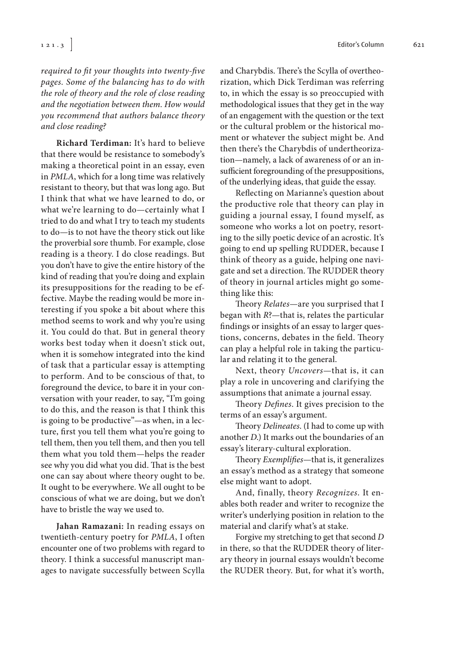*required to fit your thoughts into twenty-five pages. Some of the balancing has to do with the role of theory and the role of close reading and the negotiation between them. How would you recommend that authors balance theory and close reading?*

**Richard Terdiman:** It's hard to believe that there would be resistance to somebody's making a theoretical point in an essay, even in *PMLA*, which for a long time was relatively resistant to theory, but that was long ago. But I think that what we have learned to do, or what we're learning to do—certainly what I tried to do and what I try to teach my students to do—is to not have the theory stick out like the proverbial sore thumb. For example, close reading is a theory. I do close readings. But you don't have to give the entire history of the kind of reading that you're doing and explain its presuppositions for the reading to be ef fective. Maybe the reading would be more in teresting if you spoke a bit about where this method seems to work and why you're using it. You could do that. But in general theory works best today when it doesn't stick out, when it is somehow integrated into the kind of task that a particular essay is attempting to perform. And to be conscious of that, to foreground the device, to bare it in your con versation with your reader, to say, "I'm going to do this, and the reason is that I think this is going to be productive"—as when, in a lec ture, first you tell them what you're going to tell them, then you tell them, and then you tell them what you told them—helps the reader see why you did what you did. That is the best one can say about where theory ought to be. It ought to be everywhere. We all ought to be conscious of what we are doing, but we don't have to bristle the way we used to.

**Jahan Ramazani:** In reading essays on twentieth-century poetry for *PMLA*, I often encounter one of two problems with regard to theory. I think a successful manuscript man ages to navigate successfully between Scylla and Charybdis. There's the Scylla of overtheo rization, which Dick Terdiman was referring to, in which the essay is so preoccupied with methodological issues that they get in the way of an engagement with the question or the text or the cultural problem or the historical mo ment or whatever the subject might be. And then there's the Charybdis of undertheoriza tion—namely, a lack of awareness of or an in sufficient foregrounding of the presuppositions, of the underlying ideas, that guide the essay.

Reflecting on Marianne's question about the productive role that theory can play in guiding a journal essay, I found myself, as someone who works a lot on poetry, resort ing to the silly poetic device of an acrostic. It's going to end up spelling RUDDER, because I think of theory as a guide, helping one navi gate and set a direction. The RUDDER theory of theory in journal articles might go some thing like this:

Theory *Relates*—are you surprised that I began with *R*?—that is, relates the particular findings or insights of an essay to larger ques tions, concerns, debates in the field. Theory can play a helpful role in taking the particu lar and relating it to the general.

Next, theory *Uncovers*—that is, it can play a role in uncovering and clarifying the assumptions that animate a journal essay.

Theory *Defines*. It gives precision to the terms of an essay's argument.

Theory *Delineates*. (I had to come up with another *D*.) It marks out the boundaries of an essay's literary-cultural exploration.

Theory *Exemplifies*—that is, it generalizes an essay's method as a strategy that someone else might want to adopt.

And, finally, theory *Recognizes*. It en ables both reader and writer to recognize the writer's underlying position in relation to the material and clarify what's at stake.

Forgive my stretching to get that second *D* in there, so that the RUDDER theory of liter ary theory in journal essays wouldn't become the RUDER theory. But, for what it's worth,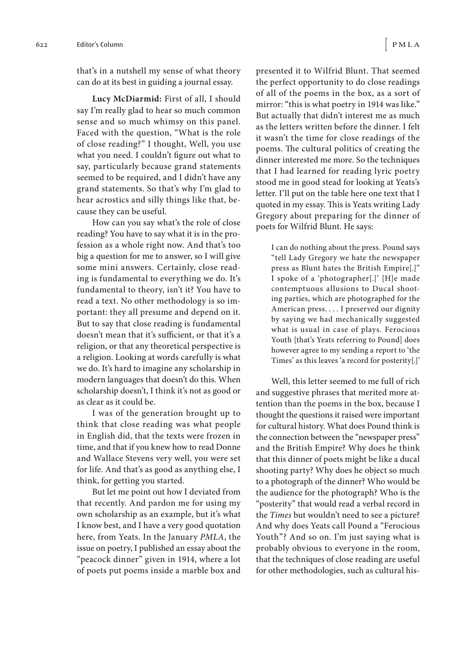that's in a nutshell my sense of what theory can do at its best in guiding a journal essay.

**Lucy McDiarmid:** First of all, I should say I'm really glad to hear so much common sense and so much whimsy on this panel. Faced with the question, "What is the role of close reading?" I thought, Well, you use what you need. I couldn't figure out what to say, particularly because grand statements seemed to be required, and I didn't have any grand statements. So that's why I'm glad to hear acrostics and silly things like that, be cause they can be useful.

How can you say what's the role of close reading? You have to say what it is in the pro fession as a whole right now. And that's too big a question for me to answer, so I will give some mini answers. Certainly, close read ing is fundamental to everything we do. It's fundamental to theory, isn't it? You have to read a text. No other methodology is so im portant: they all presume and depend on it. But to say that close reading is fundamental doesn't mean that it's sufficient, or that it's a religion, or that any theoretical perspective is a religion. Looking at words carefully is what we do. It's hard to imagine any scholarship in modern languages that doesn't do this. When scholarship doesn't, I think it's not as good or as clear as it could be.

I was of the generation brought up to think that close reading was what people in English did, that the texts were frozen in time, and that if you knew how to read Donne and Wallace Stevens very well, you were set for life. And that's as good as anything else, I think, for getting you started.

But let me point out how I deviated from that recently. And pardon me for using my own scholarship as an example, but it's what I know best, and I have a very good quotation here, from Yeats. In the January *PMLA*, the issue on poetry, I published an essay about the "peacock dinner" given in 1914, where a lot of poets put poems inside a marble box and

presented it to Wilfrid Blunt. That seemed the perfect opportunity to do close readings of all of the poems in the box, as a sort of mirror: "this is what poetry in 1914 was like." But actually that didn't interest me as much as the letters written before the dinner. I felt it wasn't the time for close readings of the poems. The cultural politics of creating the dinner interested me more. So the techniques that I had learned for reading lyric poetry stood me in good stead for looking at Yeats's letter. I'll put on the table here one text that I quoted in my essay. This is Yeats writing Lady Gregory about preparing for the dinner of poets for Wilfrid Blunt. He says:

I can do nothing about the press. Pound says "tell Lady Gregory we hate the newspaper press as Blunt hates the British Empire[.]" I spoke of a 'photographer[.]' [H]e made contemptuous allusions to Ducal shoot ing parties, which are photographed for the American press. . . . I preserved our dignity by saying we had mechanically suggested what is usual in case of plays. Ferocious Youth [that's Yeats referring to Pound] does however agree to my sending a report to 'the Times' as this leaves 'a record for posterity[.]'

Well, this letter seemed to me full of rich and suggestive phrases that merited more at tention than the poems in the box, because I thought the questions it raised were important for cultural history. What does Pound think is the connection between the "newspaper press" and the British Empire? Why does he think that this dinner of poets might be like a ducal shooting party? Why does he object so much to a photograph of the dinner? Who would be the audience for the photograph? Who is the "posterity" that would read a verbal record in the *Times* but wouldn't need to see a picture? And why does Yeats call Pound a "Ferocious Youth"? And so on. I'm just saying what is probably obvious to everyone in the room, that the techniques of close reading are useful for other methodologies, such as cultural his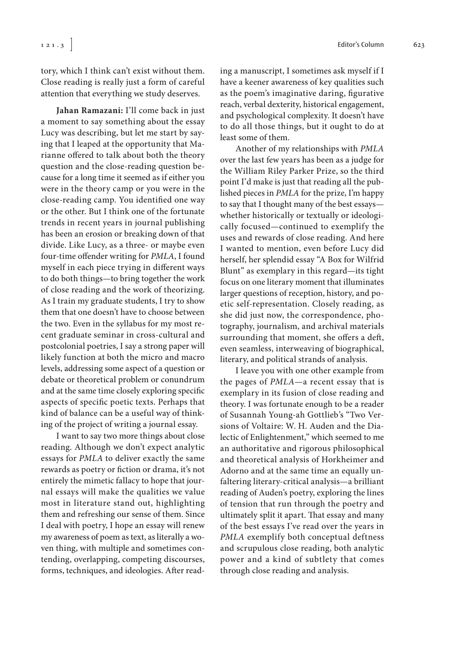tory, which I think can't exist without them. Close reading is really just a form of careful attention that everything we study deserves.

**Jahan Ramazani:** I'll come back in just a moment to say something about the essay Lucy was describing, but let me start by say ing that I leaped at the opportunity that Ma rianne offered to talk about both the theory question and the close-reading question be cause for a long time it seemed as if either you were in the theory camp or you were in the close-reading camp. You identified one way or the other. But I think one of the fortunate trends in recent years in journal publishing has been an erosion or breaking down of that divide. Like Lucy, as a three- or maybe even four-time offender writing for *PMLA*, I found myself in each piece trying in different ways to do both things—to bring together the work of close reading and the work of theorizing. As I train my graduate students, I try to show them that one doesn't have to choose between the two. Even in the syllabus for my most re cent graduate seminar in cross-cultural and postcolonial poetries, I say a strong paper will likely function at both the micro and macro levels, addressing some aspect of a question or debate or theoretical problem or conundrum and at the same time closely exploring specific aspects of specific poetic texts. Perhaps that kind of balance can be a useful way of think ing of the project of writing a journal essay.

I want to say two more things about close reading. Although we don't expect analytic essays for *PMLA* to deliver exactly the same rewards as poetry or fiction or drama, it's not entirely the mimetic fallacy to hope that jour nal essays will make the qualities we value most in literature stand out, highlighting them and refreshing our sense of them. Since I deal with poetry, I hope an essay will renew my awareness of poem as text, as literally a wo ven thing, with multiple and sometimes con tending, overlapping, competing discourses, forms, techniques, and ideologies. After reading a manuscript, I sometimes ask myself if I have a keener awareness of key qualities such as the poem's imaginative daring, figurative reach, verbal dexterity, historical engagement, and psychological complexity. It doesn't have to do all those things, but it ought to do at least some of them.

Another of my relationships with *PMLA* over the last few years has been as a judge for the William Riley Parker Prize, so the third point I'd make is just that reading all the pub lished pieces in *PMLA* for the prize, I'm happy to say that I thought many of the best essays whether historically or textually or ideologi cally focused—continued to exemplify the uses and rewards of close reading. And here I wanted to mention, even before Lucy did herself, her splendid essay "A Box for Wilfrid Blunt" as exemplary in this regard—its tight focus on one literary moment that illuminates larger questions of reception, history, and po etic self-representation. Closely reading, as she did just now, the correspondence, pho tography, journalism, and archival materials surrounding that moment, she offers a deft, even seamless, interweaving of biographical, literary, and political strands of analysis.

I leave you with one other example from the pages of *PMLA*—a recent essay that is exemplary in its fusion of close reading and theory. I was fortunate enough to be a reader of Susannah Young-ah Gottlieb's "Two Ver sions of Voltaire: W. H. Auden and the Dia lectic of Enlightenment," which seemed to me an authoritative and rigorous philosophical and theoretical analysis of Horkheimer and Adorno and at the same time an equally un faltering literary-critical analysis—a brilliant reading of Auden's poetry, exploring the lines of tension that run through the poetry and ultimately split it apart. That essay and many of the best essays I've read over the years in *PMLA* exemplify both conceptual deftness and scrupulous close reading, both analytic power and a kind of subtlety that comes through close reading and analysis.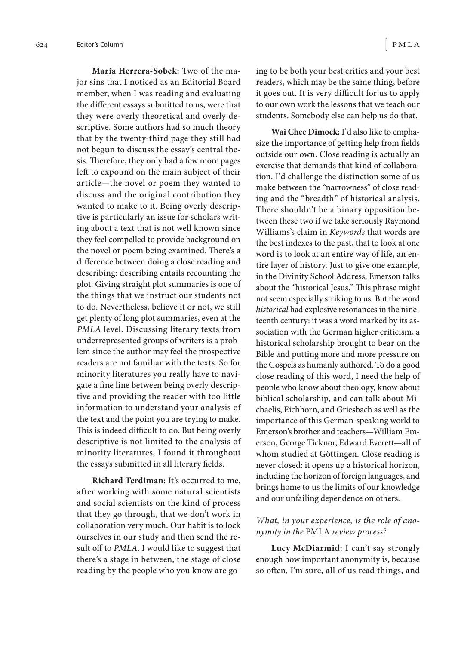**María Herrera-Sobek:** Two of the ma jor sins that I noticed as an Editorial Board member, when I was reading and evaluating the different essays submitted to us, were that they were overly theoretical and overly de scriptive. Some authors had so much theory that by the twenty-third page they still had not begun to discuss the essay's central the sis. Therefore, they only had a few more pages left to expound on the main subject of their article—the novel or poem they wanted to discuss and the original contribution they wanted to make to it. Being overly descrip tive is particularly an issue for scholars writ ing about a text that is not well known since they feel compelled to provide background on the novel or poem being examined. There's a difference between doing a close reading and describing: describing entails recounting the plot. Giving straight plot summaries is one of the things that we instruct our students not to do. Nevertheless, believe it or not, we still get plenty of long plot summaries, even at the *PMLA* level. Discussing literary texts from underrepresented groups of writers is a prob lem since the author may feel the prospective readers are not familiar with the texts. So for minority literatures you really have to navi gate a fine line between being overly descrip tive and providing the reader with too little information to understand your analysis of the text and the point you are trying to make. This is indeed difficult to do. But being overly descriptive is not limited to the analysis of minority literatures; I found it throughout the essays submitted in all literary fields.

**Richard Terdiman:** It's occurred to me, after working with some natural scientists and social scientists on the kind of process that they go through, that we don't work in collaboration very much. Our habit is to lock ourselves in our study and then send the re sult off to *PMLA*. I would like to suggest that there's a stage in between, the stage of close reading by the people who you know are going to be both your best critics and your best readers, which may be the same thing, before it goes out. It is very difficult for us to apply to our own work the lessons that we teach our students. Somebody else can help us do that.

**Wai Chee Dimock:** I'd also like to empha size the importance of getting help from fields outside our own. Close reading is actually an exercise that demands that kind of collabora tion. I'd challenge the distinction some of us make between the "narrowness" of close read ing and the "breadth" of historical analysis. There shouldn't be a binary opposition be tween these two if we take seriously Raymond Williams's claim in *Keywords* that words are the best indexes to the past, that to look at one word is to look at an entire way of life, an en tire layer of history. Just to give one example, in the Divinity School Address, Emerson talks about the "historical Jesus." This phrase might not seem especially striking to us. But the word *historical* had explosive resonances in the nine teenth century: it was a word marked by its as sociation with the German higher criticism, a historical scholarship brought to bear on the Bible and putting more and more pressure on the Gospels as humanly authored. To do a good close reading of this word, I need the help of people who know about theology, know about biblical scholarship, and can talk about Mi chaelis, Eichhorn, and Griesbach as well as the importance of this German-speaking world to Emerson's brother and teachers—William Em erson, George Ticknor, Edward Everett—all of whom studied at Göttingen. Close reading is never closed: it opens up a historical horizon, including the horizon of foreign languages, and brings home to us the limits of our knowledge and our unfailing dependence on others.

## *What, in your experience, is the role of anonymity in the* PMLA *review process?*

**Lucy McDiarmid:** I can't say strongly enough how important anonymity is, because so often, I'm sure, all of us read things, and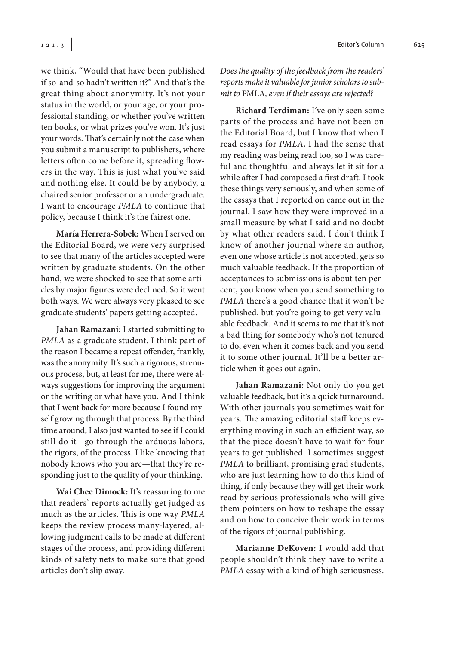we think, "Would that have been published if so-and-so hadn't written it?" And that's the great thing about anonymity. It's not your status in the world, or your age, or your pro fessional standing, or whether you've written ten books, or what prizes you've won. It's just your words. That's certainly not the case when you submit a manuscript to publishers, where letters often come before it, spreading flow ers in the way. This is just what you've said and nothing else. It could be by anybody, a chaired senior professor or an undergraduate. I want to encourage *PMLA* to continue that policy, because I think it's the fairest one.

**María Herrera-Sobek:** When I served on the Editorial Board, we were very surprised to see that many of the articles accepted were written by graduate students. On the other hand, we were shocked to see that some arti cles by major figures were declined. So it went both ways. We were always very pleased to see graduate students' papers getting accepted.

**Jahan Ramazani:** I started submitting to *PMLA* as a graduate student. I think part of the reason I became a repeat offender, frankly, was the anonymity. It's such a rigorous, strenu ous process, but, at least for me, there were al ways suggestions for improving the argument or the writing or what have you. And I think that I went back for more because I found my self growing through that process. By the third time around, I also just wanted to see if I could still do it—go through the arduous labors, the rigors, of the process. I like knowing that nobody knows who you are—that they're re sponding just to the quality of your thinking.

**Wai Chee Dimock:** It's reassuring to me that readers' reports actually get judged as much as the articles. This is one way *PMLA*  keeps the review process many-layered, al lowing judgment calls to be made at different stages of the process, and providing different kinds of safety nets to make sure that good articles don't slip away.

*Does the quality of the feedback from the readers' reports make it valuable for junior scholars to submit to* PMLA*, even if their essays are rejected?*

**Richard Terdiman:** I've only seen some parts of the process and have not been on the Editorial Board, but I know that when I read essays for *PMLA*, I had the sense that my reading was being read too, so I was care ful and thoughtful and always let it sit for a while after I had composed a first draft. I took these things very seriously, and when some of the essays that I reported on came out in the journal, I saw how they were improved in a small measure by what I said and no doubt by what other readers said. I don't think I know of another journal where an author, even one whose article is not accepted, gets so much valuable feedback. If the proportion of acceptances to submissions is about ten per cent, you know when you send something to *PMLA* there's a good chance that it won't be published, but you're going to get very valu able feedback. And it seems to me that it's not a bad thing for somebody who's not tenured to do, even when it comes back and you send it to some other journal. It'll be a better ar ticle when it goes out again.

**Jahan Ramazani:** Not only do you get valuable feedback, but it's a quick turnaround. With other journals you sometimes wait for years. The amazing editorial staff keeps ev erything moving in such an efficient way, so that the piece doesn't have to wait for four years to get published. I sometimes suggest *PMLA* to brilliant, promising grad students, who are just learning how to do this kind of thing, if only because they will get their work read by serious professionals who will give them pointers on how to reshape the essay and on how to conceive their work in terms of the rigors of journal publishing.

**Marianne DeKoven:** I would add that people shouldn't think they have to write a *PMLA* essay with a kind of high seriousness.